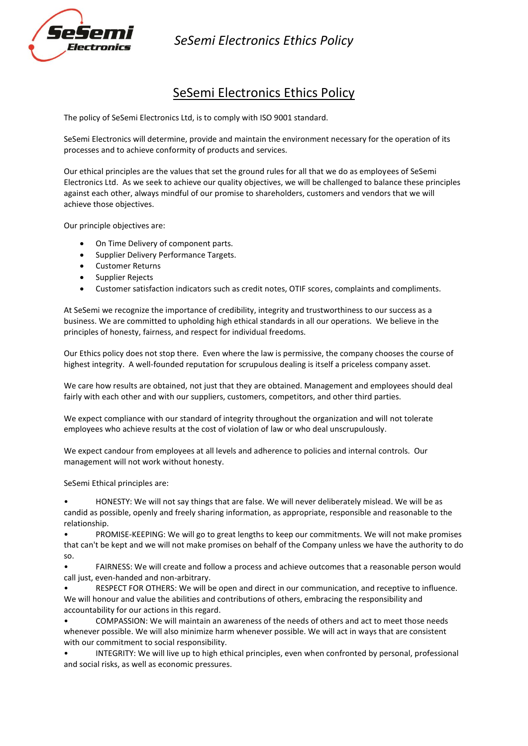

*SeSemi Electronics Ethics Policy*

## SeSemi Electronics Ethics Policy

The policy of SeSemi Electronics Ltd, is to comply with ISO 9001 standard.

SeSemi Electronics will determine, provide and maintain the environment necessary for the operation of its processes and to achieve conformity of products and services.

Our ethical principles are the values that set the ground rules for all that we do as employees of SeSemi Electronics Ltd. As we seek to achieve our quality objectives, we will be challenged to balance these principles against each other, always mindful of our promise to shareholders, customers and vendors that we will achieve those objectives.

Our principle objectives are:

- On Time Delivery of component parts.
- Supplier Delivery Performance Targets.
- Customer Returns
- Supplier Rejects
- Customer satisfaction indicators such as credit notes, OTIF scores, complaints and compliments.

At SeSemi we recognize the importance of credibility, integrity and trustworthiness to our success as a business. We are committed to upholding high ethical standards in all our operations. We believe in the principles of honesty, fairness, and respect for individual freedoms.

Our Ethics policy does not stop there. Even where the law is permissive, the company chooses the course of highest integrity. A well-founded reputation for scrupulous dealing is itself a priceless company asset.

We care how results are obtained, not just that they are obtained. Management and employees should deal fairly with each other and with our suppliers, customers, competitors, and other third parties.

We expect compliance with our standard of integrity throughout the organization and will not tolerate employees who achieve results at the cost of violation of law or who deal unscrupulously.

We expect candour from employees at all levels and adherence to policies and internal controls. Our management will not work without honesty.

SeSemi Ethical principles are:

• HONESTY: We will not say things that are false. We will never deliberately mislead. We will be as candid as possible, openly and freely sharing information, as appropriate, responsible and reasonable to the relationship.

• PROMISE-KEEPING: We will go to great lengths to keep our commitments. We will not make promises that can't be kept and we will not make promises on behalf of the Company unless we have the authority to do so.

• FAIRNESS: We will create and follow a process and achieve outcomes that a reasonable person would call just, even-handed and non-arbitrary.

• RESPECT FOR OTHERS: We will be open and direct in our communication, and receptive to influence. We will honour and value the abilities and contributions of others, embracing the responsibility and accountability for our actions in this regard.

• COMPASSION: We will maintain an awareness of the needs of others and act to meet those needs whenever possible. We will also minimize harm whenever possible. We will act in ways that are consistent with our commitment to social responsibility.

• INTEGRITY: We will live up to high ethical principles, even when confronted by personal, professional and social risks, as well as economic pressures.